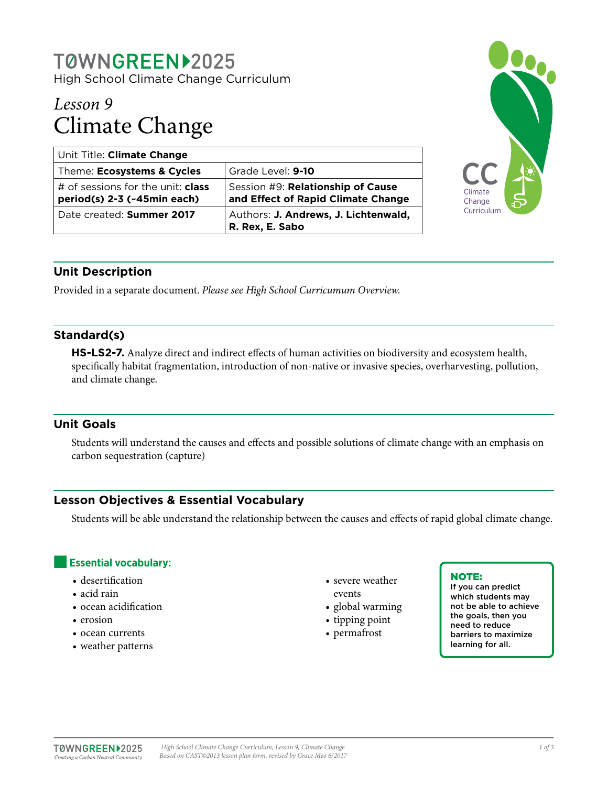## T0WNGREEN>2025 High School Climate Change Curriculum

# *Lesson 9* Climate Change

| Unit Title: Climate Change                                              |                                                                         |
|-------------------------------------------------------------------------|-------------------------------------------------------------------------|
| Theme: Ecosystems & Cycles                                              | Grade Level: 9-10                                                       |
| # of sessions for the unit: <b>class</b><br>period(s) 2-3 (~45min each) | Session #9: Relationship of Cause<br>and Effect of Rapid Climate Change |
| Date created: Summer 2017                                               | Authors: J. Andrews, J. Lichtenwald,<br>R. Rex, E. Sabo                 |



## **Unit Description**

Provided in a separate document. *Please see High School Curricumum Overview.*

## **Standard(s)**

**HS-LS2-7.** Analyze direct and indirect effects of human activities on biodiversity and ecosystem health, specifically habitat fragmentation, introduction of non-native or invasive species, overharvesting, pollution, and climate change.

## **Unit Goals**

Students will understand the causes and effects and possible solutions of climate change with an emphasis on carbon sequestration (capture)

## **Lesson Objectives & Essential Vocabulary**

Students will be able understand the relationship between the causes and effects of rapid global climate change.

## **Essential vocabulary:**

- desertification
- acid rain
- ocean acidification
- erosion
- ocean currents
- weather patterns
- severe weather
- events
- global warming
- tipping point
- permafrost

#### NOTE:

If you can predict which students may not be able to achieve the goals, then you need to reduce barriers to maximize learning for all.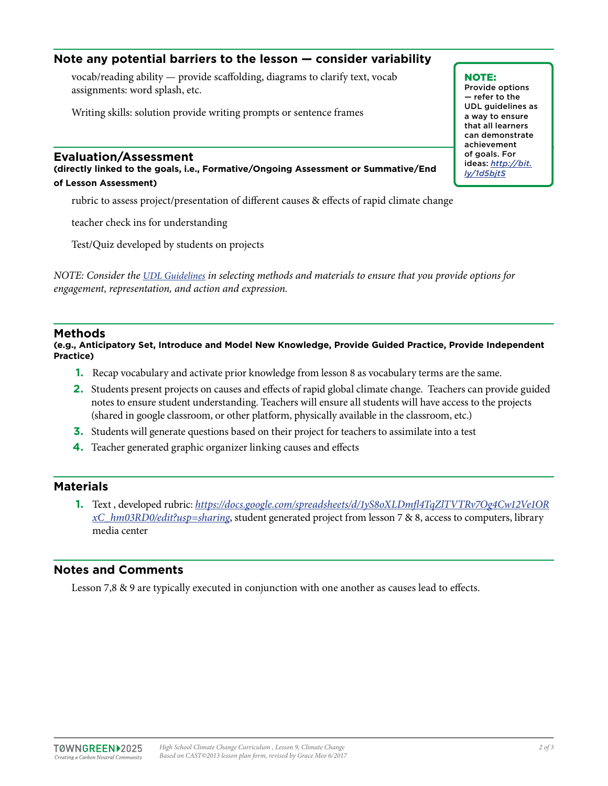## **Note any potential barriers to the lesson — consider variability**

vocab/reading ability — provide scaffolding, diagrams to clarify text, vocab assignments: word splash, etc.

Writing skills: solution provide writing prompts or sentence frames

#### **Evaluation/Assessment**

**(directly linked to the goals, i.e., Formative/Ongoing Assessment or Summative/End of Lesson Assessment)**

rubric to assess project/presentation of different causes & effects of rapid climate change

teacher check ins for understanding

Test/Quiz developed by students on projects

*NOTE: Consider the [UDL Guidelines](http://bit.ly/1d5bjtS) in selecting methods and materials to ensure that you provide options for engagement, representation, and action and expression.* 

#### **Methods**

**(e.g., Anticipatory Set, Introduce and Model New Knowledge, Provide Guided Practice, Provide Independent Practice)**

- **1.** Recap vocabulary and activate prior knowledge from lesson 8 as vocabulary terms are the same.
- **2.** Students present projects on causes and effects of rapid global climate change. Teachers can provide guided notes to ensure student understanding. Teachers will ensure all students will have access to the projects (shared in google classroom, or other platform, physically available in the classroom, etc.)
- **3.** Students will generate questions based on their project for teachers to assimilate into a test
- **4.** Teacher generated graphic organizer linking causes and effects

#### **Materials**

**1.** Text , developed rubric: *[https://docs.google.com/spreadsheets/d/1yS8oXLDmfl4TqZlTVTRv7Og4Cw12Ve1OR](https://docs.google.com/spreadsheets/d/1yS8oXLDmfl4TqZlTVTRv7Og4Cw12Ve1ORxC_hm03RD0/edit?usp=sharing) [xC\\_hm03RD0/edit?usp=sharing](https://docs.google.com/spreadsheets/d/1yS8oXLDmfl4TqZlTVTRv7Og4Cw12Ve1ORxC_hm03RD0/edit?usp=sharing)*, student generated project from lesson 7 & 8, access to computers, library media center

#### **Notes and Comments**

Lesson 7,8 & 9 are typically executed in conjunction with one another as causes lead to effects.

NOTE: Provide options — refer to the UDL guidelines as a way to ensure that all learners can demonstrate achievement of goals. For ideas: *http://bit. ly/1d5bjtS*